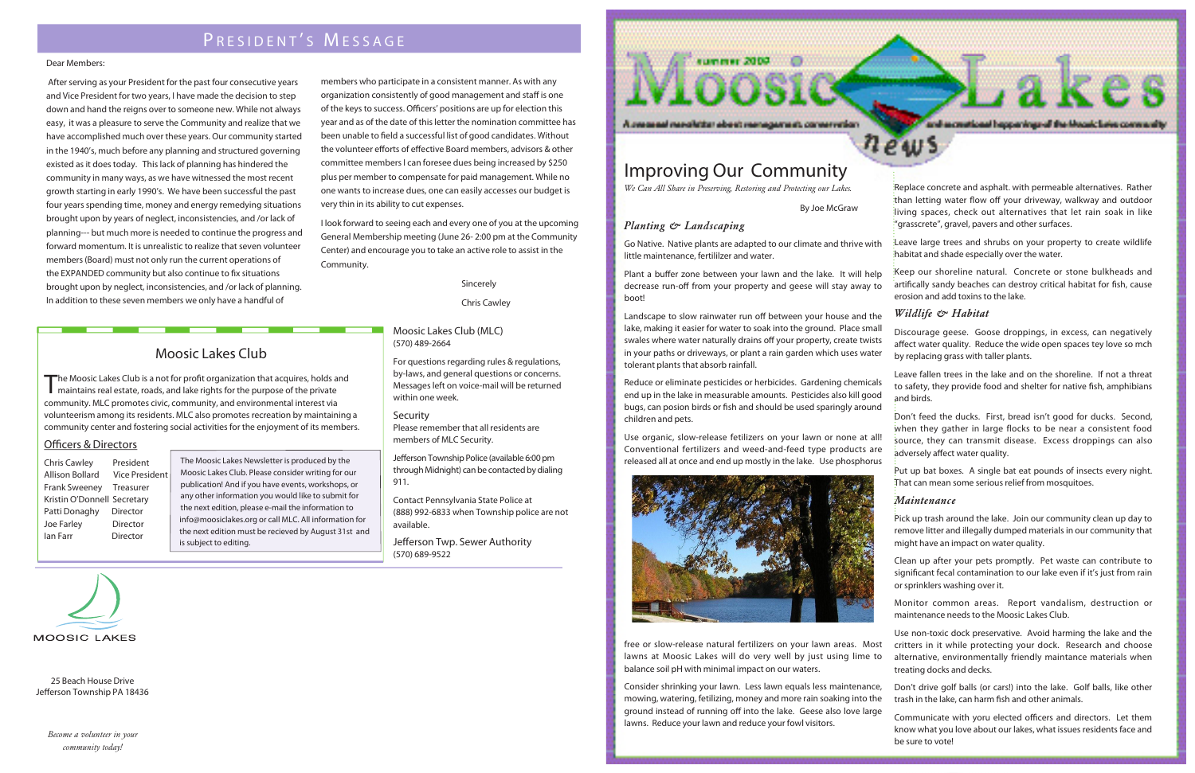## PRESIDENT'S MESSAGE

#### Dear Members:

After serving as your President for the past four consecutive years and Vice President for two years, I have made the decision to step down and hand the reigns over to someone new. While not always easy, it was a pleasure to serve the Community and realize that we have accomplished much over these years. Our community started in the 1940's, much before any planning and structured governing existed as it does today. This lack of planning has hindered the community in many ways, as we have witnessed the most recent growth starting in early 1990's. We have been successful the past four years spending time, money and energy remedying situations brought upon by years of neglect, inconsistencies, and /or lack of planning--- but much more is needed to continue the progress and forward momentum. It is unrealistic to realize that seven volunteer members (Board) must not only run the current operations of the EXPANDED community but also continue to fix situations brought upon by neglect, inconsistencies, and /or lack of planning. In addition to these seven members we only have a handful of

members who participate in a consistent manner. As with any organization consistently of good management and staff is one of the keys to success. Officers' positions are up for election this year and as of the date of this letter the nomination committee has been unable to field a successful list of good candidates. Without the volunteer efforts of effective Board members, advisors & other committee members I can foresee dues being increased by \$250 plus per member to compensate for paid management. While no one wants to increase dues, one can easily accesses our budget is very thin in its ability to cut expenses.

I look forward to seeing each and every one of you at the upcoming General Membership meeting (June 26-2:00 pm at the Community Center) and encourage you to take an active role to assist in the Community.

Sincerely

Chris Cawley

### Moosic Lakes Club (MLC)  $(570)$  489-2664

For questions regarding rules & regulations, by-laws, and general questions or concerns. Messages left on voice-mail will be returned within one week.

#### Security

Please remember that all residents are members of MLC Security.

Jefferson Township Police (available 6:00 pm through Midnight) can be contacted by dialing 911.

Contact Pennsylvania State Police at (888) 992-6833 when Township police are not available.

Jefferson Twp. Sewer Authority  $(570)$  689-9522



#### Planting & Landscaping

Go Native. Native plants are adapted to our climate and thrive with little maintenance, fertililzer and water.

Plant a buffer zone between your lawn and the lake. It will help decrease run-off from your property and geese will stay away to boot!

Landscape to slow rainwater run off between your house and the lake, making it easier for water to soak into the ground. Place small Discourage geese. Goose droppings, in excess, can negatively swales where water naturally drains off your property, create twists affect water quality. Reduce the wide open spaces tey love so mch in your paths or driveways, or plant a rain garden which uses water by replacing grass with taller plants. tolerant plants that absorb rainfall.

Leave fallen trees in the lake and on the shoreline. If not a threat Reduce or eliminate pesticides or herbicides. Gardening chemicals to safety, they provide food and shelter for native fish, amphibians end up in the lake in measurable amounts. Pesticides also kill good and birds. bugs, can posion birds or fish and should be used sparingly around

Don't feed the ducks. First, bread isn't good for ducks. Second, children and pets. when they gather in large flocks to be near a consistent food Use organic, slow-release fetilizers on your lawn or none at all! source, they can transmit disease. Excess droppings can also Conventional fertilizers and weed-and-feed type products are adversely affect water quality. released all at once and end up mostly in the lake. Use phosphorus



free or slow-release natural fertilizers on your lawn areas. Most lawns at Moosic Lakes will do very well by just using lime to balance soil pH with minimal impact on our waters.

Consider shrinking your lawn. Less lawn equals less maintenance, mowing, watering, fetilizing, money and more rain soaking into the ground instead of running off into the lake. Geese also love large lawns. Reduce your lawn and reduce your fowl visitors.

### **Moosic Lakes Club**

The Moosic Lakes Club is a not for profit organization that acquires, holds and maintains real estate, roads, and lake rights for the purpose of the private community. MLC promotes civic, community, and environmental interest via volunteerism among its residents. MLC also promotes recreation by maintaining a community center and fostering social activities for the enjoyment of its members.

### **Officers & Directors**

President **Chris Cawley** Allison Bollard **Vice President Frank Sweeney** Treasurer Kristin O'Donnell Secretary Patti Donaghy **Director** Joe Farley Director lan Farr Director

The Moosic Lakes Newsletter is produced by the Moosic Lakes Club. Please consider writing for our publication! And if you have events, workshops, or any other information you would like to submit for the next edition, please e-mail the information to info@moosiclakes.org or call MLC. All information for the next edition must be recieved by August 31st and is subject to editing.



25 Beach House Drive Jefferson Township PA 18436

Become a volunteer in your community today!

Replace concrete and asphalt, with permeable alternatives. Rather than letting water flow off your driveway, walkway and outdoor living spaces, check out alternatives that let rain soak in like "grasscrete", gravel, pavers and other surfaces.

and accurational happenings of the Moonic Leve community

- Leave large trees and shrubs on your property to create wildlife habitat and shade especially over the water.
- Keep our shoreline natural. Concrete or stone bulkheads and artifically sandy beaches can destroy critical habitat for fish, cause erosion and add toxins to the lake.

### Wildlife & Habitat

Put up bat boxes. A single bat eat pounds of insects every night. That can mean some serious relief from mosquitoes.

### Maintenance

Pick up trash around the lake. Join our community clean up day to remove litter and illegally dumped materials in our community that might have an impact on water quality.

Clean up after your pets promptly. Pet waste can contribute to significant fecal contamination to our lake even if it's just from rain or sprinklers washing over it.

Monitor common areas. Report vandalism, destruction or maintenance needs to the Moosic Lakes Club.

Use non-toxic dock preservative. Avoid harming the lake and the

- critters in it while protecting your dock. Research and choose alternative, environmentally friendly maintance materials when treating docks and decks.
- Don't drive golf balls (or cars!) into the lake. Golf balls, like other
- trash in the lake, can harm fish and other animals.
- Communicate with yoru elected officers and directors. Let them know what you love about our lakes, what issues residents face and be sure to vote!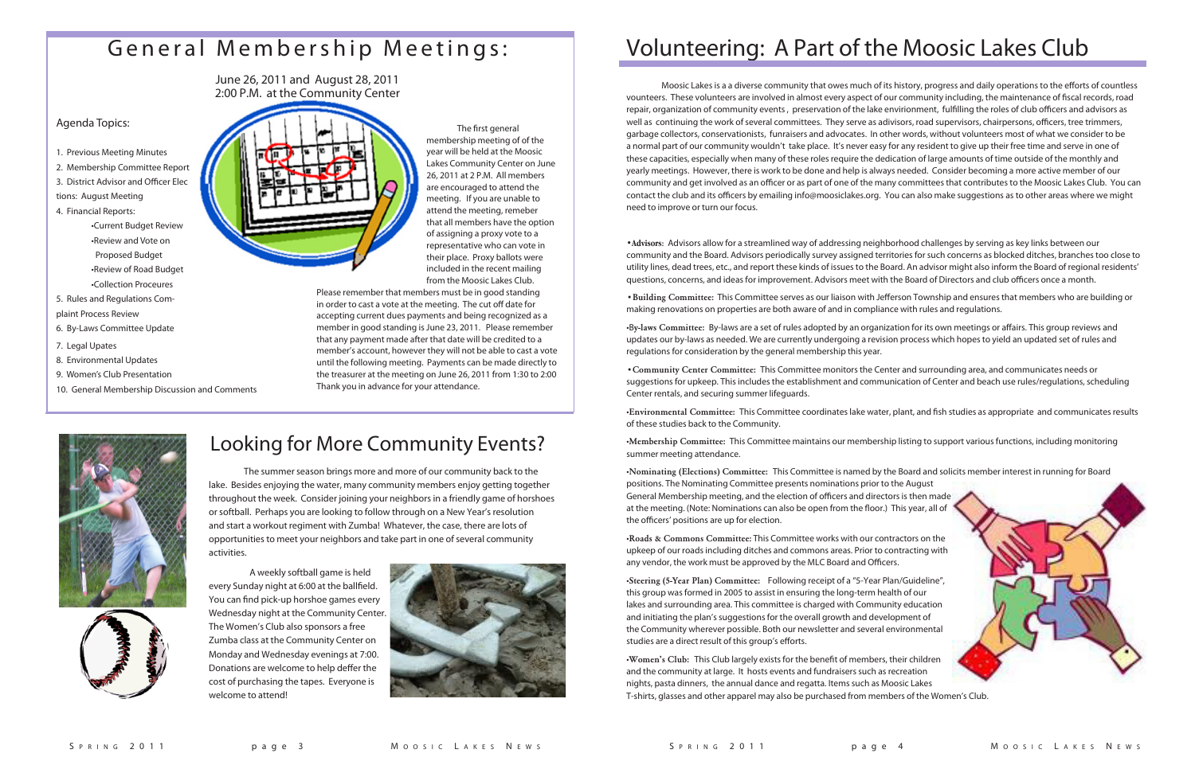The first general membership meeting of of the year will be held at the Moosic Lakes Community Center on June 26, 2011 at 2 P.M. All members are encouraged to attend the meeting. If you are unable to attend the meeting, remeber that all members have the option of assigning a proxy vote to a representative who can vote in their place. Proxy ballots were included in the recent mailing from the Moosic Lakes Club.

Please remember that members must be in good standing in order to cast a vote at the meeting. The cut off date for accepting current dues payments and being recognized as a member in good standing is June 23, 2011. Please remember that any payment made after that date will be credited to a member's account, however they will not be able to cast a vote until the following meeting. Payments can be made directly to the treasurer at the meeting on June 26, 2011 from 1:30 to 2:00 Thank you in advance for your attendance.





# General Membership Meetings:

June 26, 2011 and August 28, 2011 2:00 P.M. at the Community Center

### Agenda Topics:

- 1. Previous Meeting Minutes
- 2. Membership Committee Report
- 3. District Advisor and Officer Elec
- tions: August Meeting
- 4. Financial Reports: •Current Budget Review •Review and Vote on Proposed Budget •Review of Road Budget •Collection Proceures
- 5. Rules and Regulations Complaint Process Review
- 6. By-Laws Committee Update
- 7. Legal Upates
- 8. Environmental Updates
- 9. Women's Club Presentation
- 10. General Membership Discussion and Comments



The summer season brings more and more of our community back to the lake. Besides enjoying the water, many community members enjoy getting together throughout the week. Consider joining your neighbors in a friendly game of horshoes or softball. Perhaps you are looking to follow through on a New Year's resolution and start a workout regiment with Zumba! Whatever, the case, there are lots of opportunities to meet your neighbors and take part in one of several community activities.

Moosic Lakes is a a diverse community that owes much of its history, progress and daily operations to the efforts of countless vounteers. These volunteers are involved in almost every aspect of our community including, the maintenance of fiscal records, road repair, organization of community events, preservation of the lake envirionment, fulfilling the roles of club officers and advisors as well as continuing the work of several committees. They serve as adivisors, road supervisors, chairpersons, officers, tree trimmers, garbage collectors, conservationists, funraisers and advocates. In other words, without volunteers most of what we consider to be a normal part of our community wouldn't take place. It's never easy for any resident to give up their free time and serve in one of these capacities, especially when many of these roles require the dedication of large amounts of time outside of the monthly and yearly meetings. However, there is work to be done and help is always needed. Consider becoming a more active member of our community and get involved as an officer or as part of one of the many committees that contributes to the Moosic Lakes Club. You can contact the club and its officers by emailing info@moosiclakes.org. You can also make suggestions as to other areas where we might need to improve or turn our focus.

**Advisors:** Advisors allow for a streamlined way of addressing neighborhood challenges by serving as key links between our community and the Board. Advisors periodically survey assigned territories for such concerns as blocked ditches, branches too close to utility lines, dead trees, etc., and report these kinds of issues to the Board. An advisor might also inform the Board of regional residents' questions, concerns, and ideas for improvement. Advisors meet with the Board of Directors and club officers once a month.

 A weekly softball game is held every Sunday night at 6:00 at the ballfield. You can find pick-up horshoe games every Wednesday night at the Community Center. The Women's Club also sponsors a free Zumba class at the Community Center on Monday and Wednesday evenings at 7:00. Donations are welcome to help deffer the cost of purchasing the tapes. Everyone is welcome to attend!



• Building Committee: This Committee serves as our liaison with Jefferson Township and ensures that members who are building or making renovations on properties are both aware of and in compliance with rules and regulations.

·By-laws Committee: By-laws are a set of rules adopted by an organization for its own meetings or affairs. This group reviews and updates our by-laws as needed. We are currently undergoing a revision process which hopes to yield an updated set of rules and regulations for consideration by the general membership this year.

## Looking for More Community Events?

# Volunteering: A Part of the Moosic Lakes Club

**• Community Center Committee:** This Committee monitors the Center and surrounding area, and communicates needs or suggestions for upkeep. This includes the establishment and communication of Center and beach use rules/regulations, scheduling Center rentals, and securing summer lifeguards.

 $\cdot$ Environmental Committee: This Committee coordinates lake water, plant, and fish studies as appropriate and communicates results of these studies back to the Community.

•Membership Committee: This Committee maintains our membership listing to support various functions, including monitoring summer meeting attendance.

**·Nominating (Elections) Committee:** This Committee is named by the Board and solicits member interest in running for Board positions. The Nominating Committee presents nominations prior to the August General Membership meeting, and the election of officers and directors is then made at the meeting. (Note: Nominations can also be open from the floor.) This year, all of the officers' positions are up for election.

**Roads & Commons Committee:** This Committee works with our contractors on the upkeep of our roads including ditches and commons areas. Prior to contracting with any vendor, the work must be approved by the MLC Board and Officers.

•Steering (5-Year Plan) Committee: Following receipt of a "5-Year Plan/Guideline", this group was formed in 2005 to assist in ensuring the long-term health of our lakes and surrounding area. This committee is charged with Community education and initiating the plan's suggestions for the overall growth and development of the Community wherever possible. Both our newsletter and several environmental studies are a direct result of this group's efforts.

**·Women's Club:** This Club largely exists for the benefit of members, their children and the community at large. It hosts events and fundraisers such as recreation nights, pasta dinners, the annual dance and regatta. Items such as Moosic Lakes T-shirts, glasses and other apparel may also be purchased from members of the Women's Club.